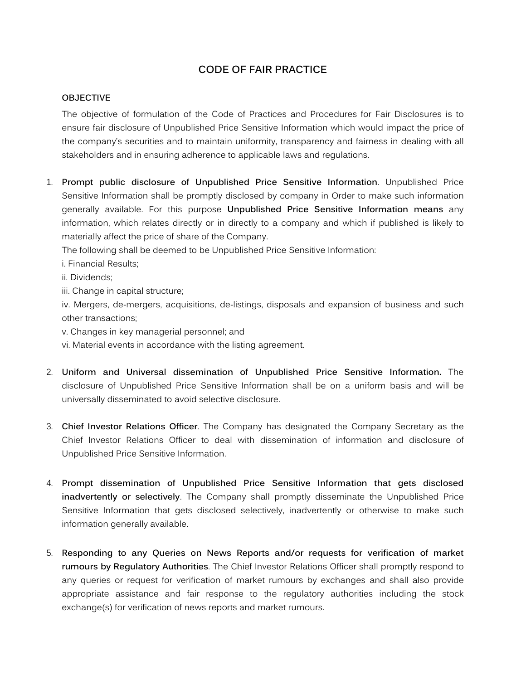## **CODE OF FAIR PRACTICE**

## **OBJECTIVE**

The objective of formulation of the Code of Practices and Procedures for Fair Disclosures is to ensure fair disclosure of Unpublished Price Sensitive Information which would impact the price of the company's securities and to maintain uniformity, transparency and fairness in dealing with all stakeholders and in ensuring adherence to applicable laws and regulations.

1. **Prompt public disclosure of Unpublished Price Sensitive Information**. Unpublished Price Sensitive Information shall be promptly disclosed by company in Order to make such information generally available. For this purpose **Unpublished Price Sensitive Information means** any information, which relates directly or in directly to a company and which if published is likely to materially affect the price of share of the Company.

The following shall be deemed to be Unpublished Price Sensitive Information:

- i. Financial Results;
- ii. Dividends;
- iii. Change in capital structure;

iv. Mergers, de-mergers, acquisitions, de-listings, disposals and expansion of business and such other transactions;

v. Changes in key managerial personnel; and

vi. Material events in accordance with the listing agreement.

- 2. **Uniform and Universal dissemination of Unpublished Price Sensitive Information.** The disclosure of Unpublished Price Sensitive Information shall be on a uniform basis and will be universally disseminated to avoid selective disclosure.
- 3. **Chief Investor Relations Officer**. The Company has designated the Company Secretary as the Chief Investor Relations Officer to deal with dissemination of information and disclosure of Unpublished Price Sensitive Information.
- 4. **Prompt dissemination of Unpublished Price Sensitive Information that gets disclosed inadvertently or selectively**. The Company shall promptly disseminate the Unpublished Price Sensitive Information that gets disclosed selectively, inadvertently or otherwise to make such information generally available.
- 5. **Responding to any Queries on News Reports and/or requests for verification of market rumours by Regulatory Authorities**. The Chief Investor Relations Officer shall promptly respond to any queries or request for verification of market rumours by exchanges and shall also provide appropriate assistance and fair response to the regulatory authorities including the stock exchange(s) for verification of news reports and market rumours.